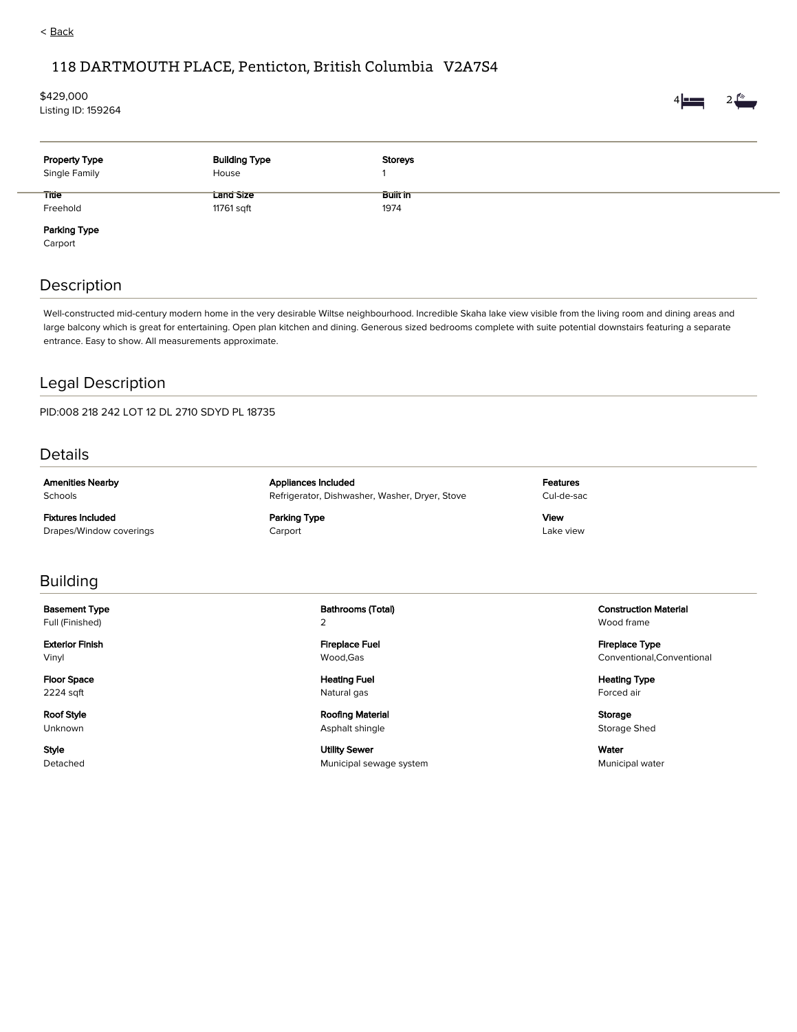## < Back

### 118 DARTMOUTH PLACE, Penticton, British Columbia V2A7S4

# \$429,000

Listing ID: 159264



| <b>Property Type</b><br>Single Family | <b>Building Type</b><br>House | Storeys              |  |
|---------------------------------------|-------------------------------|----------------------|--|
| <b>Title</b>                          | Lang Size                     | ---<br><b>BUILIN</b> |  |
| Freehold                              | 11761 sqft                    | 1974                 |  |
| Parking Type                          |                               |                      |  |

Carport

#### Description

Well-constructed mid-century modern home in the very desirable Wiltse neighbourhood. Incredible Skaha lake view visible from the living room and dining areas and large balcony which is great for entertaining. Open plan kitchen and dining. Generous sized bedrooms complete with suite potential downstairs featuring a separate entrance. Easy to show. All measurements approximate.

### Legal Description

PID:008 218 242 LOT 12 DL 2710 SDYD PL 18735

Details

Amenities Nearby Schools

Fixtures Included Drapes/Window coverings Appliances Included Refrigerator, Dishwasher, Washer, Dryer, Stove

Parking Type Carport

Features Cul-de-sac

View Lake view

#### Building

Basement Type Full (Finished)

Exterior Finish Vinyl

Floor Space 2224 sqft

Roof Style Unknown

Style Detached Bathrooms (Total) 2

Fireplace Fuel Wood,Gas

Heating Fuel Natural gas

Roofing Material Asphalt shingle

Utility Sewer Municipal sewage system Construction Material Wood frame

Fireplace Type Conventional,Conventional

Heating Type Forced air

Storage Storage Shed

Water Municipal water